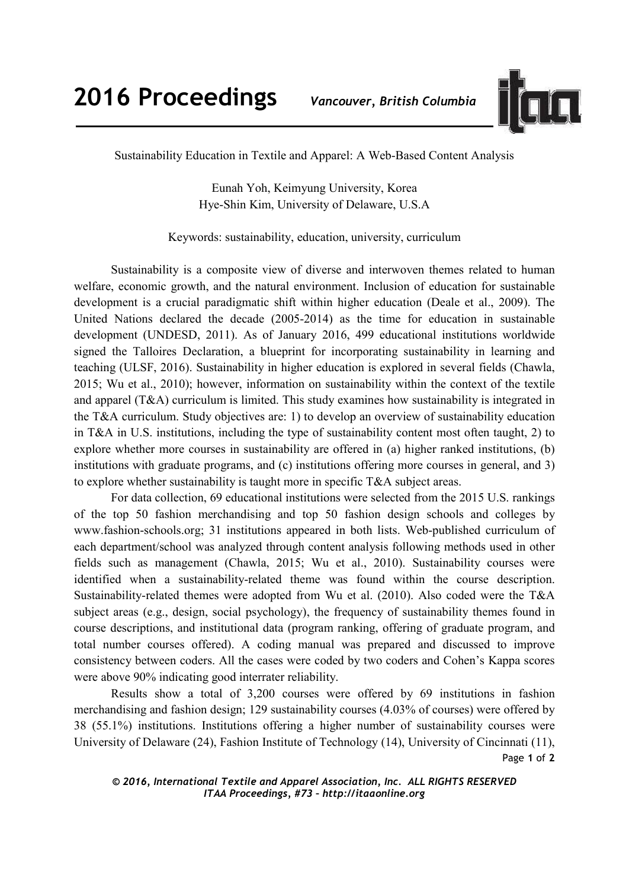

Sustainability Education in Textile and Apparel: A Web-Based Content Analysis

Eunah Yoh, Keimyung University, Korea Hye-Shin Kim, University of Delaware, U.S.A

Keywords: sustainability, education, university, curriculum

Sustainability is a composite view of diverse and interwoven themes related to human welfare, economic growth, and the natural environment. Inclusion of education for sustainable development is a crucial paradigmatic shift within higher education (Deale et al., 2009). The United Nations declared the decade (2005-2014) as the time for education in sustainable development (UNDESD, 2011). As of January 2016, 499 educational institutions worldwide signed the Talloires Declaration, a blueprint for incorporating sustainability in learning and teaching (ULSF, 2016). Sustainability in higher education is explored in several fields (Chawla, 2015; Wu et al., 2010); however, information on sustainability within the context of the textile and apparel (T&A) curriculum is limited. This study examines how sustainability is integrated in the T&A curriculum. Study objectives are: 1) to develop an overview of sustainability education in T&A in U.S. institutions, including the type of sustainability content most often taught, 2) to explore whether more courses in sustainability are offered in (a) higher ranked institutions, (b) institutions with graduate programs, and (c) institutions offering more courses in general, and 3) to explore whether sustainability is taught more in specific T&A subject areas.

For data collection, 69 educational institutions were selected from the 2015 U.S. rankings of the top 50 fashion merchandising and top 50 fashion design schools and colleges by www.fashion-schools.org; 31 institutions appeared in both lists. Web-published curriculum of each department/school was analyzed through content analysis following methods used in other fields such as management (Chawla, 2015; Wu et al., 2010). Sustainability courses were identified when a sustainability-related theme was found within the course description. Sustainability-related themes were adopted from Wu et al. (2010). Also coded were the T&A subject areas (e.g., design, social psychology), the frequency of sustainability themes found in course descriptions, and institutional data (program ranking, offering of graduate program, and total number courses offered). A coding manual was prepared and discussed to improve consistency between coders. All the cases were coded by two coders and Cohen's Kappa scores were above 90% indicating good interrater reliability.

Page **1** of **2** Results show a total of 3,200 courses were offered by 69 institutions in fashion merchandising and fashion design; 129 sustainability courses (4.03% of courses) were offered by 38 (55.1%) institutions. Institutions offering a higher number of sustainability courses were University of Delaware (24), Fashion Institute of Technology (14), University of Cincinnati (11),

## *© 2016, International Textile and Apparel Association, Inc. ALL RIGHTS RESERVED ITAA Proceedings, #73 – http://itaaonline.org*